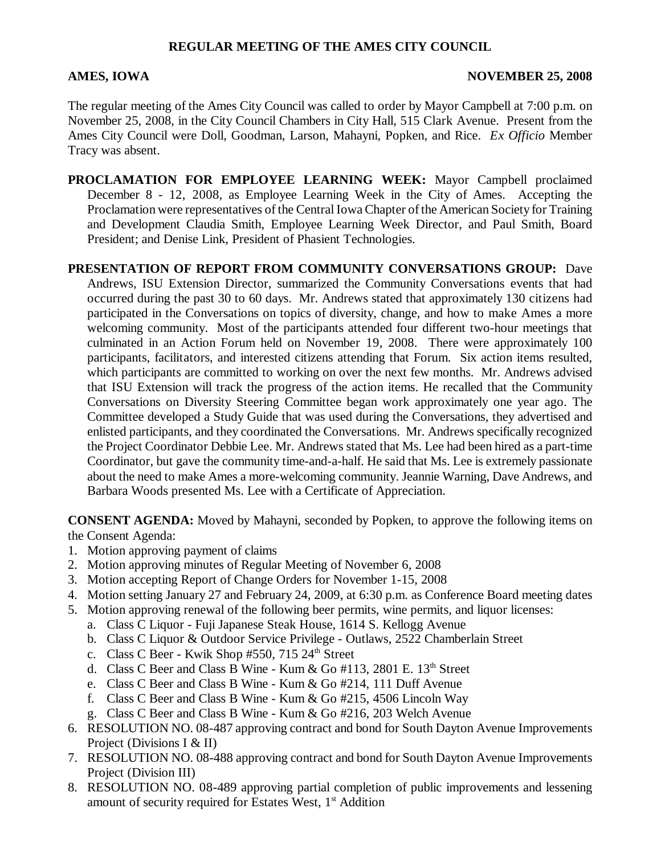## **REGULAR MEETING OF THE AMES CITY COUNCIL**

#### AMES, IOWA NOVEMBER 25, 2008

The regular meeting of the Ames City Council was called to order by Mayor Campbell at 7:00 p.m. on November 25, 2008, in the City Council Chambers in City Hall, 515 Clark Avenue. Present from the Ames City Council were Doll, Goodman, Larson, Mahayni, Popken, and Rice. *Ex Officio* Member Tracy was absent.

- **PROCLAMATION FOR EMPLOYEE LEARNING WEEK:** Mayor Campbell proclaimed December 8 - 12, 2008, as Employee Learning Week in the City of Ames. Accepting the Proclamation were representatives of the Central Iowa Chapter of the American Society for Training and Development Claudia Smith, Employee Learning Week Director, and Paul Smith, Board President; and Denise Link, President of Phasient Technologies.
- **PRESENTATION OF REPORT FROM COMMUNITY CONVERSATIONS GROUP:** Dave Andrews, ISU Extension Director, summarized the Community Conversations events that had occurred during the past 30 to 60 days. Mr. Andrews stated that approximately 130 citizens had participated in the Conversations on topics of diversity, change, and how to make Ames a more welcoming community. Most of the participants attended four different two-hour meetings that culminated in an Action Forum held on November 19, 2008. There were approximately 100 participants, facilitators, and interested citizens attending that Forum. Six action items resulted, which participants are committed to working on over the next few months. Mr. Andrews advised that ISU Extension will track the progress of the action items. He recalled that the Community Conversations on Diversity Steering Committee began work approximately one year ago. The Committee developed a Study Guide that was used during the Conversations, they advertised and enlisted participants, and they coordinated the Conversations. Mr. Andrews specifically recognized the Project Coordinator Debbie Lee. Mr. Andrews stated that Ms. Lee had been hired as a part-time Coordinator, but gave the community time-and-a-half. He said that Ms. Lee is extremely passionate about the need to make Ames a more-welcoming community. Jeannie Warning, Dave Andrews, and Barbara Woods presented Ms. Lee with a Certificate of Appreciation.

**CONSENT AGENDA:** Moved by Mahayni, seconded by Popken, to approve the following items on the Consent Agenda:

- 1. Motion approving payment of claims
- 2. Motion approving minutes of Regular Meeting of November 6, 2008
- 3. Motion accepting Report of Change Orders for November 1-15, 2008
- 4. Motion setting January 27 and February 24, 2009, at 6:30 p.m. as Conference Board meeting dates
- 5. Motion approving renewal of the following beer permits, wine permits, and liquor licenses:
	- a. Class C Liquor Fuji Japanese Steak House, 1614 S. Kellogg Avenue
	- b. Class C Liquor & Outdoor Service Privilege Outlaws, 2522 Chamberlain Street
	- c. Class C Beer Kwik Shop  $#550$ , 715  $24<sup>th</sup>$  Street
	- d. Class C Beer and Class B Wine Kum & Go #113, 2801 E.  $13<sup>th</sup>$  Street
	- e. Class C Beer and Class B Wine Kum & Go #214, 111 Duff Avenue
	- f. Class C Beer and Class B Wine Kum & Go #215, 4506 Lincoln Way
	- g. Class C Beer and Class B Wine Kum & Go #216, 203 Welch Avenue
- 6. RESOLUTION NO. 08-487 approving contract and bond for South Dayton Avenue Improvements Project (Divisions I & II)
- 7. RESOLUTION NO. 08-488 approving contract and bond for South Dayton Avenue Improvements Project (Division III)
- 8. RESOLUTION NO. 08-489 approving partial completion of public improvements and lessening amount of security required for Estates West,  $1<sup>st</sup>$  Addition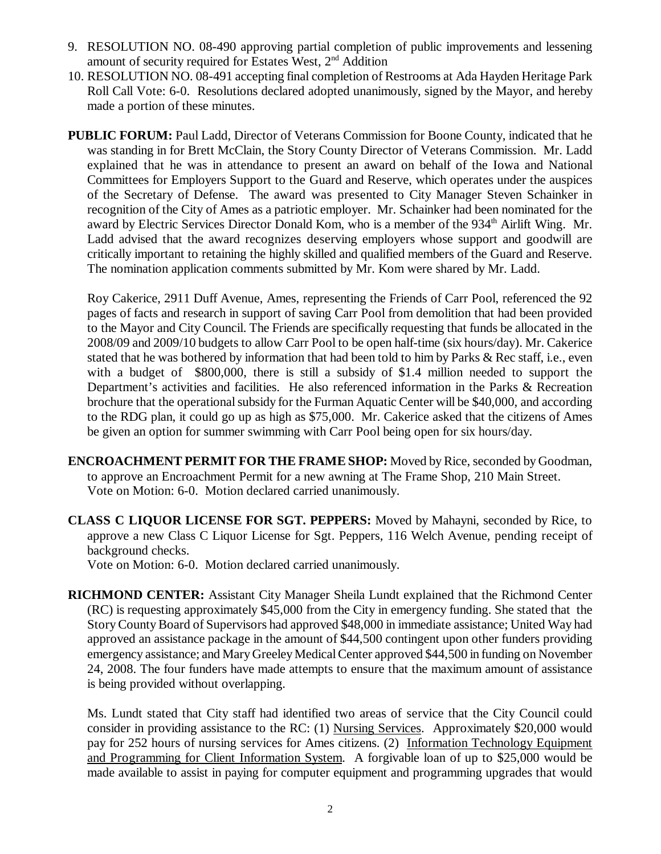- 9. RESOLUTION NO. 08-490 approving partial completion of public improvements and lessening amount of security required for Estates West,  $2<sup>nd</sup>$  Addition
- 10. RESOLUTION NO. 08-491 accepting final completion of Restrooms at Ada Hayden Heritage Park Roll Call Vote: 6-0. Resolutions declared adopted unanimously, signed by the Mayor, and hereby made a portion of these minutes.
- **PUBLIC FORUM:** Paul Ladd, Director of Veterans Commission for Boone County, indicated that he was standing in for Brett McClain, the Story County Director of Veterans Commission. Mr. Ladd explained that he was in attendance to present an award on behalf of the Iowa and National Committees for Employers Support to the Guard and Reserve, which operates under the auspices of the Secretary of Defense. The award was presented to City Manager Steven Schainker in recognition of the City of Ames as a patriotic employer. Mr. Schainker had been nominated for the award by Electric Services Director Donald Kom, who is a member of the 934<sup>th</sup> Airlift Wing. Mr. Ladd advised that the award recognizes deserving employers whose support and goodwill are critically important to retaining the highly skilled and qualified members of the Guard and Reserve. The nomination application comments submitted by Mr. Kom were shared by Mr. Ladd.

Roy Cakerice, 2911 Duff Avenue, Ames, representing the Friends of Carr Pool, referenced the 92 pages of facts and research in support of saving Carr Pool from demolition that had been provided to the Mayor and City Council. The Friends are specifically requesting that funds be allocated in the 2008/09 and 2009/10 budgets to allow Carr Pool to be open half-time (six hours/day). Mr. Cakerice stated that he was bothered by information that had been told to him by Parks & Rec staff, i.e., even with a budget of \$800,000, there is still a subsidy of \$1.4 million needed to support the Department's activities and facilities. He also referenced information in the Parks & Recreation brochure that the operational subsidy for the Furman Aquatic Center will be \$40,000, and according to the RDG plan, it could go up as high as \$75,000. Mr. Cakerice asked that the citizens of Ames be given an option for summer swimming with Carr Pool being open for six hours/day.

- **ENCROACHMENT PERMIT FOR THE FRAME SHOP:** Moved by Rice, seconded by Goodman, to approve an Encroachment Permit for a new awning at The Frame Shop, 210 Main Street. Vote on Motion: 6-0. Motion declared carried unanimously.
- **CLASS C LIQUOR LICENSE FOR SGT. PEPPERS:** Moved by Mahayni, seconded by Rice, to approve a new Class C Liquor License for Sgt. Peppers, 116 Welch Avenue, pending receipt of background checks.

Vote on Motion: 6-0. Motion declared carried unanimously.

**RICHMOND CENTER:** Assistant City Manager Sheila Lundt explained that the Richmond Center (RC) is requesting approximately \$45,000 from the City in emergency funding. She stated that the Story County Board of Supervisors had approved \$48,000 in immediate assistance; United Way had approved an assistance package in the amount of \$44,500 contingent upon other funders providing emergency assistance; and Mary Greeley Medical Center approved \$44,500 in funding on November 24, 2008. The four funders have made attempts to ensure that the maximum amount of assistance is being provided without overlapping.

Ms. Lundt stated that City staff had identified two areas of service that the City Council could consider in providing assistance to the RC: (1) Nursing Services. Approximately \$20,000 would pay for 252 hours of nursing services for Ames citizens. (2) Information Technology Equipment and Programming for Client Information System. A forgivable loan of up to \$25,000 would be made available to assist in paying for computer equipment and programming upgrades that would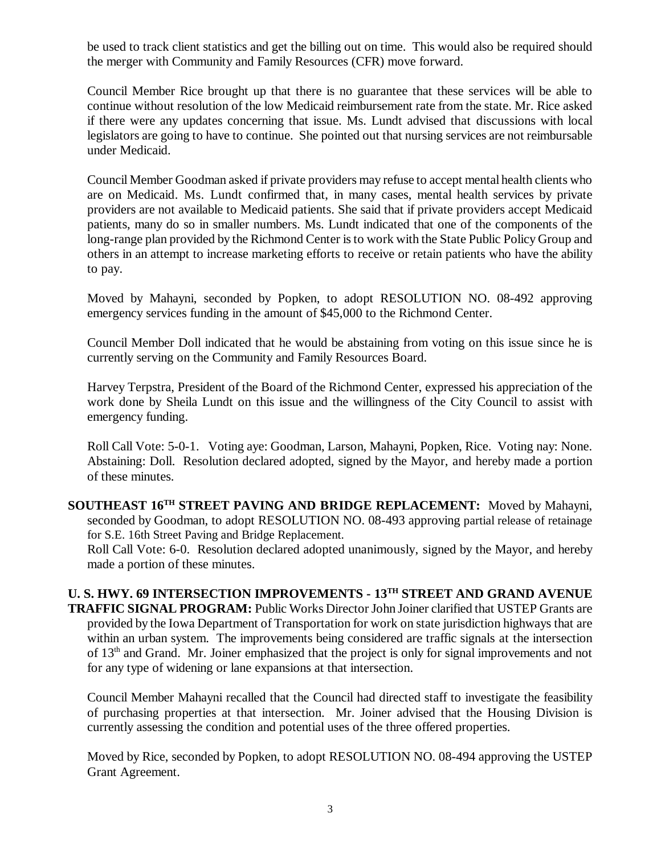be used to track client statistics and get the billing out on time. This would also be required should the merger with Community and Family Resources (CFR) move forward.

Council Member Rice brought up that there is no guarantee that these services will be able to continue without resolution of the low Medicaid reimbursement rate from the state. Mr. Rice asked if there were any updates concerning that issue. Ms. Lundt advised that discussions with local legislators are going to have to continue. She pointed out that nursing services are not reimbursable under Medicaid.

Council Member Goodman asked if private providers may refuse to accept mental health clients who are on Medicaid. Ms. Lundt confirmed that, in many cases, mental health services by private providers are not available to Medicaid patients. She said that if private providers accept Medicaid patients, many do so in smaller numbers. Ms. Lundt indicated that one of the components of the long-range plan provided by the Richmond Center is to work with the State Public Policy Group and others in an attempt to increase marketing efforts to receive or retain patients who have the ability to pay.

Moved by Mahayni, seconded by Popken, to adopt RESOLUTION NO. 08-492 approving emergency services funding in the amount of \$45,000 to the Richmond Center.

Council Member Doll indicated that he would be abstaining from voting on this issue since he is currently serving on the Community and Family Resources Board.

Harvey Terpstra, President of the Board of the Richmond Center, expressed his appreciation of the work done by Sheila Lundt on this issue and the willingness of the City Council to assist with emergency funding.

Roll Call Vote: 5-0-1. Voting aye: Goodman, Larson, Mahayni, Popken, Rice. Voting nay: None. Abstaining: Doll. Resolution declared adopted, signed by the Mayor, and hereby made a portion of these minutes.

**SOUTHEAST 16TH STREET PAVING AND BRIDGE REPLACEMENT:** Moved by Mahayni, seconded by Goodman, to adopt RESOLUTION NO. 08-493 approving partial release of retainage for S.E. 16th Street Paving and Bridge Replacement.

Roll Call Vote: 6-0. Resolution declared adopted unanimously, signed by the Mayor, and hereby made a portion of these minutes.

**U. S. HWY. 69 INTERSECTION IMPROVEMENTS - 13TH STREET AND GRAND AVENUE TRAFFIC SIGNAL PROGRAM:** Public Works Director John Joiner clarified that USTEP Grants are provided by the Iowa Department of Transportation for work on state jurisdiction highways that are within an urban system. The improvements being considered are traffic signals at the intersection of 13th and Grand. Mr. Joiner emphasized that the project is only for signal improvements and not for any type of widening or lane expansions at that intersection.

Council Member Mahayni recalled that the Council had directed staff to investigate the feasibility of purchasing properties at that intersection. Mr. Joiner advised that the Housing Division is currently assessing the condition and potential uses of the three offered properties.

Moved by Rice, seconded by Popken, to adopt RESOLUTION NO. 08-494 approving the USTEP Grant Agreement.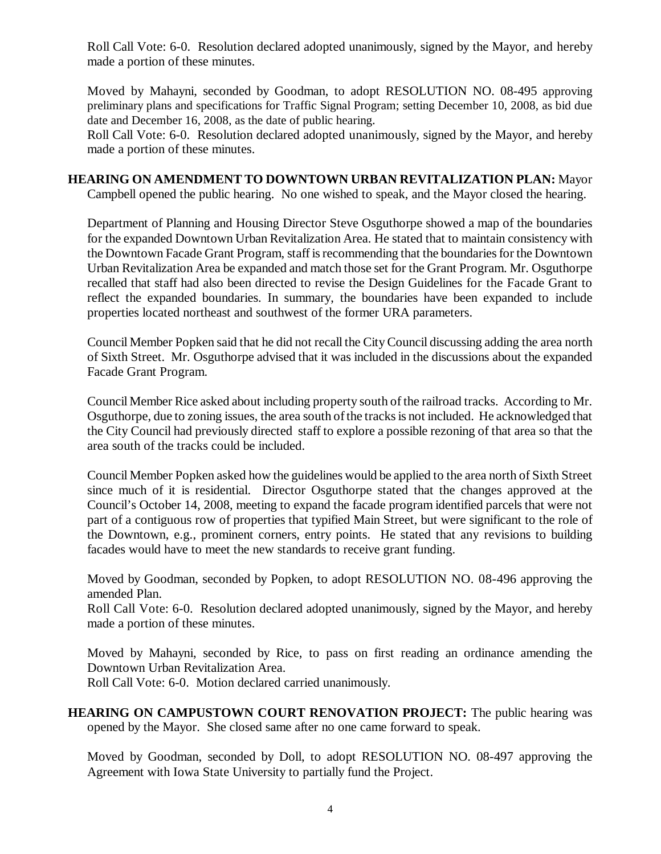Roll Call Vote: 6-0. Resolution declared adopted unanimously, signed by the Mayor, and hereby made a portion of these minutes.

Moved by Mahayni, seconded by Goodman, to adopt RESOLUTION NO. 08-495 approving preliminary plans and specifications for Traffic Signal Program; setting December 10, 2008, as bid due date and December 16, 2008, as the date of public hearing.

Roll Call Vote: 6-0. Resolution declared adopted unanimously, signed by the Mayor, and hereby made a portion of these minutes.

**HEARING ON AMENDMENT TO DOWNTOWN URBAN REVITALIZATION PLAN:** Mayor Campbell opened the public hearing. No one wished to speak, and the Mayor closed the hearing.

Department of Planning and Housing Director Steve Osguthorpe showed a map of the boundaries for the expanded Downtown Urban Revitalization Area. He stated that to maintain consistency with the Downtown Facade Grant Program, staff is recommending that the boundaries for the Downtown Urban Revitalization Area be expanded and match those set for the Grant Program. Mr. Osguthorpe recalled that staff had also been directed to revise the Design Guidelines for the Facade Grant to reflect the expanded boundaries. In summary, the boundaries have been expanded to include properties located northeast and southwest of the former URA parameters.

Council Member Popken said that he did not recall the City Council discussing adding the area north of Sixth Street. Mr. Osguthorpe advised that it was included in the discussions about the expanded Facade Grant Program.

Council Member Rice asked about including property south of the railroad tracks. According to Mr. Osguthorpe, due to zoning issues, the area south of the tracks is not included. He acknowledged that the City Council had previously directed staff to explore a possible rezoning of that area so that the area south of the tracks could be included.

Council Member Popken asked how the guidelines would be applied to the area north of Sixth Street since much of it is residential. Director Osguthorpe stated that the changes approved at the Council's October 14, 2008, meeting to expand the facade program identified parcels that were not part of a contiguous row of properties that typified Main Street, but were significant to the role of the Downtown, e.g., prominent corners, entry points. He stated that any revisions to building facades would have to meet the new standards to receive grant funding.

Moved by Goodman, seconded by Popken, to adopt RESOLUTION NO. 08-496 approving the amended Plan.

Roll Call Vote: 6-0. Resolution declared adopted unanimously, signed by the Mayor, and hereby made a portion of these minutes.

Moved by Mahayni, seconded by Rice, to pass on first reading an ordinance amending the Downtown Urban Revitalization Area.

Roll Call Vote: 6-0. Motion declared carried unanimously.

**HEARING ON CAMPUSTOWN COURT RENOVATION PROJECT:** The public hearing was opened by the Mayor. She closed same after no one came forward to speak.

Moved by Goodman, seconded by Doll, to adopt RESOLUTION NO. 08-497 approving the Agreement with Iowa State University to partially fund the Project.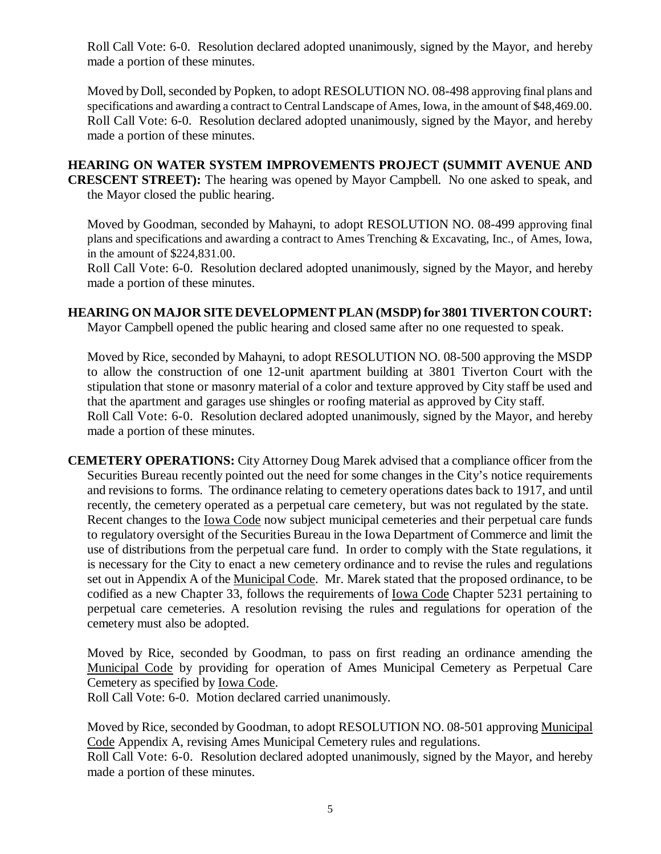Roll Call Vote: 6-0. Resolution declared adopted unanimously, signed by the Mayor, and hereby made a portion of these minutes.

Moved by Doll, seconded by Popken, to adopt RESOLUTION NO. 08-498 approving final plans and specifications and awarding a contract to Central Landscape of Ames, Iowa, in the amount of \$48,469.00. Roll Call Vote: 6-0. Resolution declared adopted unanimously, signed by the Mayor, and hereby made a portion of these minutes.

#### **HEARING ON WATER SYSTEM IMPROVEMENTS PROJECT (SUMMIT AVENUE AND CRESCENT STREET):** The hearing was opened by Mayor Campbell. No one asked to speak, and the Mayor closed the public hearing.

Moved by Goodman, seconded by Mahayni, to adopt RESOLUTION NO. 08-499 approving final plans and specifications and awarding a contract to Ames Trenching & Excavating, Inc., of Ames, Iowa, in the amount of \$224,831.00.

Roll Call Vote: 6-0. Resolution declared adopted unanimously, signed by the Mayor, and hereby made a portion of these minutes.

## **HEARING ON MAJOR SITE DEVELOPMENT PLAN (MSDP) for 3801 TIVERTON COURT:**

Mayor Campbell opened the public hearing and closed same after no one requested to speak.

Moved by Rice, seconded by Mahayni, to adopt RESOLUTION NO. 08-500 approving the MSDP to allow the construction of one 12-unit apartment building at 3801 Tiverton Court with the stipulation that stone or masonry material of a color and texture approved by City staff be used and that the apartment and garages use shingles or roofing material as approved by City staff. Roll Call Vote: 6-0. Resolution declared adopted unanimously, signed by the Mayor, and hereby made a portion of these minutes.

**CEMETERY OPERATIONS:** City Attorney Doug Marek advised that a compliance officer from the Securities Bureau recently pointed out the need for some changes in the City's notice requirements and revisions to forms. The ordinance relating to cemetery operations dates back to 1917, and until recently, the cemetery operated as a perpetual care cemetery, but was not regulated by the state. Recent changes to the <u>Iowa Code</u> now subject municipal cemeteries and their perpetual care funds to regulatory oversight of the Securities Bureau in the Iowa Department of Commerce and limit the use of distributions from the perpetual care fund. In order to comply with the State regulations, it is necessary for the City to enact a new cemetery ordinance and to revise the rules and regulations set out in Appendix A of the Municipal Code. Mr. Marek stated that the proposed ordinance, to be codified as a new Chapter 33, follows the requirements of Iowa Code Chapter 5231 pertaining to perpetual care cemeteries. A resolution revising the rules and regulations for operation of the cemetery must also be adopted.

Moved by Rice, seconded by Goodman, to pass on first reading an ordinance amending the Municipal Code by providing for operation of Ames Municipal Cemetery as Perpetual Care Cemetery as specified by Iowa Code.

Roll Call Vote: 6-0. Motion declared carried unanimously.

Moved by Rice, seconded by Goodman, to adopt RESOLUTION NO. 08-501 approving Municipal Code Appendix A, revising Ames Municipal Cemetery rules and regulations.

Roll Call Vote: 6-0. Resolution declared adopted unanimously, signed by the Mayor, and hereby made a portion of these minutes.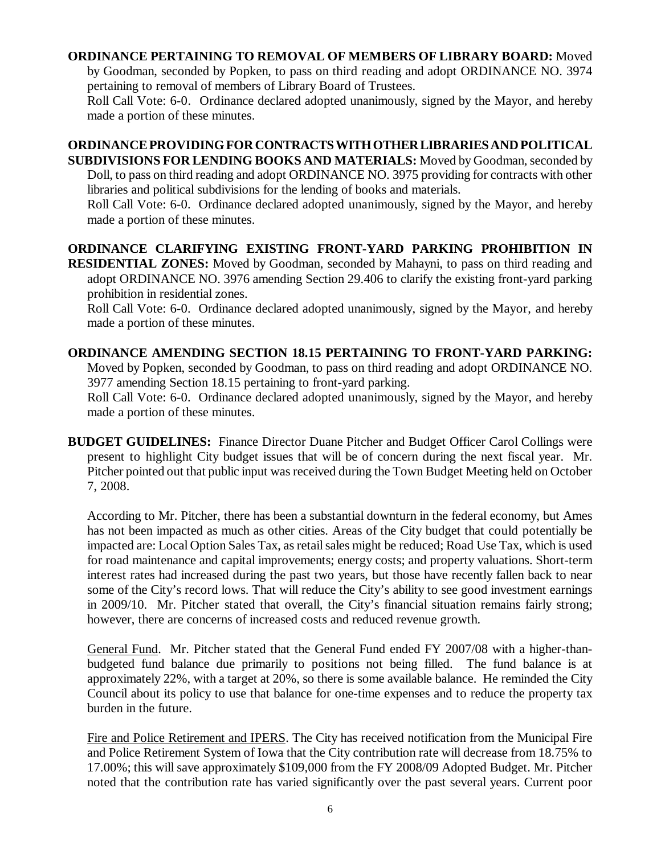#### **ORDINANCE PERTAINING TO REMOVAL OF MEMBERS OF LIBRARY BOARD:** Moved

by Goodman, seconded by Popken, to pass on third reading and adopt ORDINANCE NO. 3974 pertaining to removal of members of Library Board of Trustees.

Roll Call Vote: 6-0. Ordinance declared adopted unanimously, signed by the Mayor, and hereby made a portion of these minutes.

### **ORDINANCE PROVIDING FOR CONTRACTS WITH OTHER LIBRARIES AND POLITICAL SUBDIVISIONS FOR LENDING BOOKS AND MATERIALS:** Moved by Goodman, seconded by Doll, to pass on third reading and adopt ORDINANCE NO. 3975 providing for contracts with other

libraries and political subdivisions for the lending of books and materials. Roll Call Vote: 6-0. Ordinance declared adopted unanimously, signed by the Mayor, and hereby

made a portion of these minutes.

# **ORDINANCE CLARIFYING EXISTING FRONT-YARD PARKING PROHIBITION IN**

**RESIDENTIAL ZONES:** Moved by Goodman, seconded by Mahayni, to pass on third reading and adopt ORDINANCE NO. 3976 amending Section 29.406 to clarify the existing front-yard parking prohibition in residential zones.

Roll Call Vote: 6-0. Ordinance declared adopted unanimously, signed by the Mayor, and hereby made a portion of these minutes.

# **ORDINANCE AMENDING SECTION 18.15 PERTAINING TO FRONT-YARD PARKING:**

Moved by Popken, seconded by Goodman, to pass on third reading and adopt ORDINANCE NO. 3977 amending Section 18.15 pertaining to front-yard parking.

Roll Call Vote: 6-0. Ordinance declared adopted unanimously, signed by the Mayor, and hereby made a portion of these minutes.

**BUDGET GUIDELINES:** Finance Director Duane Pitcher and Budget Officer Carol Collings were present to highlight City budget issues that will be of concern during the next fiscal year. Mr. Pitcher pointed out that public input was received during the Town Budget Meeting held on October 7, 2008.

According to Mr. Pitcher, there has been a substantial downturn in the federal economy, but Ames has not been impacted as much as other cities. Areas of the City budget that could potentially be impacted are: Local Option Sales Tax, as retail sales might be reduced; Road Use Tax, which is used for road maintenance and capital improvements; energy costs; and property valuations. Short-term interest rates had increased during the past two years, but those have recently fallen back to near some of the City's record lows. That will reduce the City's ability to see good investment earnings in 2009/10. Mr. Pitcher stated that overall, the City's financial situation remains fairly strong; however, there are concerns of increased costs and reduced revenue growth.

General Fund. Mr. Pitcher stated that the General Fund ended FY 2007/08 with a higher-thanbudgeted fund balance due primarily to positions not being filled. The fund balance is at approximately 22%, with a target at 20%, so there is some available balance. He reminded the City Council about its policy to use that balance for one-time expenses and to reduce the property tax burden in the future.

Fire and Police Retirement and IPERS. The City has received notification from the Municipal Fire and Police Retirement System of Iowa that the City contribution rate will decrease from 18.75% to 17.00%; this will save approximately \$109,000 from the FY 2008/09 Adopted Budget. Mr. Pitcher noted that the contribution rate has varied significantly over the past several years. Current poor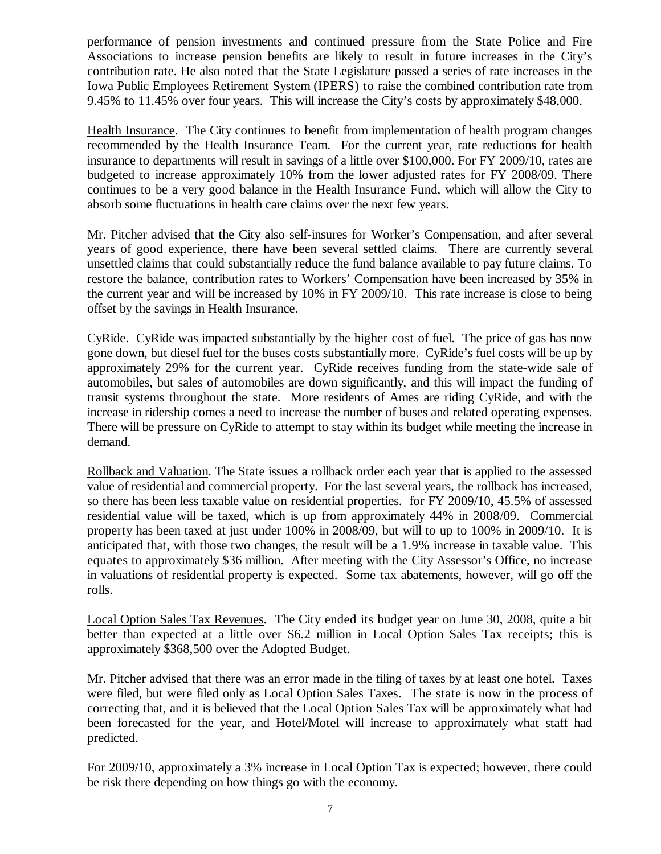performance of pension investments and continued pressure from the State Police and Fire Associations to increase pension benefits are likely to result in future increases in the City's contribution rate. He also noted that the State Legislature passed a series of rate increases in the Iowa Public Employees Retirement System (IPERS) to raise the combined contribution rate from 9.45% to 11.45% over four years. This will increase the City's costs by approximately \$48,000.

Health Insurance. The City continues to benefit from implementation of health program changes recommended by the Health Insurance Team. For the current year, rate reductions for health insurance to departments will result in savings of a little over \$100,000. For FY 2009/10, rates are budgeted to increase approximately 10% from the lower adjusted rates for FY 2008/09. There continues to be a very good balance in the Health Insurance Fund, which will allow the City to absorb some fluctuations in health care claims over the next few years.

Mr. Pitcher advised that the City also self-insures for Worker's Compensation, and after several years of good experience, there have been several settled claims. There are currently several unsettled claims that could substantially reduce the fund balance available to pay future claims. To restore the balance, contribution rates to Workers' Compensation have been increased by 35% in the current year and will be increased by 10% in FY 2009/10. This rate increase is close to being offset by the savings in Health Insurance.

CyRide. CyRide was impacted substantially by the higher cost of fuel. The price of gas has now gone down, but diesel fuel for the buses costs substantially more. CyRide's fuel costs will be up by approximately 29% for the current year. CyRide receives funding from the state-wide sale of automobiles, but sales of automobiles are down significantly, and this will impact the funding of transit systems throughout the state. More residents of Ames are riding CyRide, and with the increase in ridership comes a need to increase the number of buses and related operating expenses. There will be pressure on CyRide to attempt to stay within its budget while meeting the increase in demand.

Rollback and Valuation. The State issues a rollback order each year that is applied to the assessed value of residential and commercial property. For the last several years, the rollback has increased, so there has been less taxable value on residential properties. for FY 2009/10, 45.5% of assessed residential value will be taxed, which is up from approximately 44% in 2008/09. Commercial property has been taxed at just under 100% in 2008/09, but will to up to 100% in 2009/10. It is anticipated that, with those two changes, the result will be a 1.9% increase in taxable value. This equates to approximately \$36 million. After meeting with the City Assessor's Office, no increase in valuations of residential property is expected. Some tax abatements, however, will go off the rolls.

Local Option Sales Tax Revenues. The City ended its budget year on June 30, 2008, quite a bit better than expected at a little over \$6.2 million in Local Option Sales Tax receipts; this is approximately \$368,500 over the Adopted Budget.

Mr. Pitcher advised that there was an error made in the filing of taxes by at least one hotel. Taxes were filed, but were filed only as Local Option Sales Taxes. The state is now in the process of correcting that, and it is believed that the Local Option Sales Tax will be approximately what had been forecasted for the year, and Hotel/Motel will increase to approximately what staff had predicted.

For 2009/10, approximately a 3% increase in Local Option Tax is expected; however, there could be risk there depending on how things go with the economy.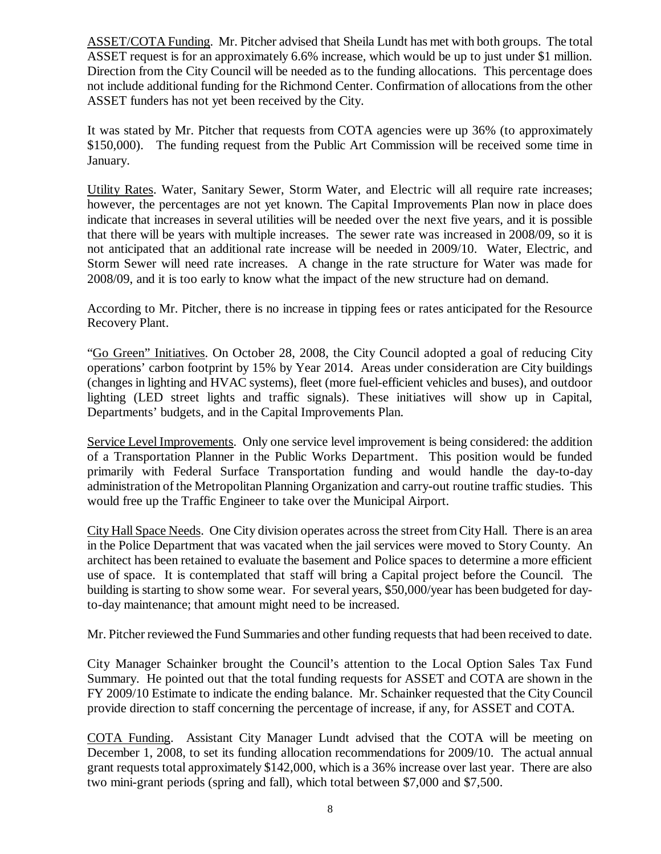ASSET/COTA Funding. Mr. Pitcher advised that Sheila Lundt has met with both groups. The total ASSET request is for an approximately 6.6% increase, which would be up to just under \$1 million. Direction from the City Council will be needed as to the funding allocations. This percentage does not include additional funding for the Richmond Center. Confirmation of allocations from the other ASSET funders has not yet been received by the City.

It was stated by Mr. Pitcher that requests from COTA agencies were up 36% (to approximately \$150,000). The funding request from the Public Art Commission will be received some time in January.

Utility Rates. Water, Sanitary Sewer, Storm Water, and Electric will all require rate increases; however, the percentages are not yet known. The Capital Improvements Plan now in place does indicate that increases in several utilities will be needed over the next five years, and it is possible that there will be years with multiple increases. The sewer rate was increased in 2008/09, so it is not anticipated that an additional rate increase will be needed in 2009/10. Water, Electric, and Storm Sewer will need rate increases. A change in the rate structure for Water was made for 2008/09, and it is too early to know what the impact of the new structure had on demand.

According to Mr. Pitcher, there is no increase in tipping fees or rates anticipated for the Resource Recovery Plant.

"Go Green" Initiatives. On October 28, 2008, the City Council adopted a goal of reducing City operations' carbon footprint by 15% by Year 2014. Areas under consideration are City buildings (changes in lighting and HVAC systems), fleet (more fuel-efficient vehicles and buses), and outdoor lighting (LED street lights and traffic signals). These initiatives will show up in Capital, Departments' budgets, and in the Capital Improvements Plan.

Service Level Improvements. Only one service level improvement is being considered: the addition of a Transportation Planner in the Public Works Department. This position would be funded primarily with Federal Surface Transportation funding and would handle the day-to-day administration of the Metropolitan Planning Organization and carry-out routine traffic studies. This would free up the Traffic Engineer to take over the Municipal Airport.

City Hall Space Needs. One City division operates across the street from City Hall. There is an area in the Police Department that was vacated when the jail services were moved to Story County. An architect has been retained to evaluate the basement and Police spaces to determine a more efficient use of space. It is contemplated that staff will bring a Capital project before the Council. The building is starting to show some wear. For several years, \$50,000/year has been budgeted for dayto-day maintenance; that amount might need to be increased.

Mr. Pitcher reviewed the Fund Summaries and other funding requests that had been received to date.

City Manager Schainker brought the Council's attention to the Local Option Sales Tax Fund Summary. He pointed out that the total funding requests for ASSET and COTA are shown in the FY 2009/10 Estimate to indicate the ending balance. Mr. Schainker requested that the City Council provide direction to staff concerning the percentage of increase, if any, for ASSET and COTA.

COTA Funding. Assistant City Manager Lundt advised that the COTA will be meeting on December 1, 2008, to set its funding allocation recommendations for 2009/10. The actual annual grant requests total approximately \$142,000, which is a 36% increase over last year. There are also two mini-grant periods (spring and fall), which total between \$7,000 and \$7,500.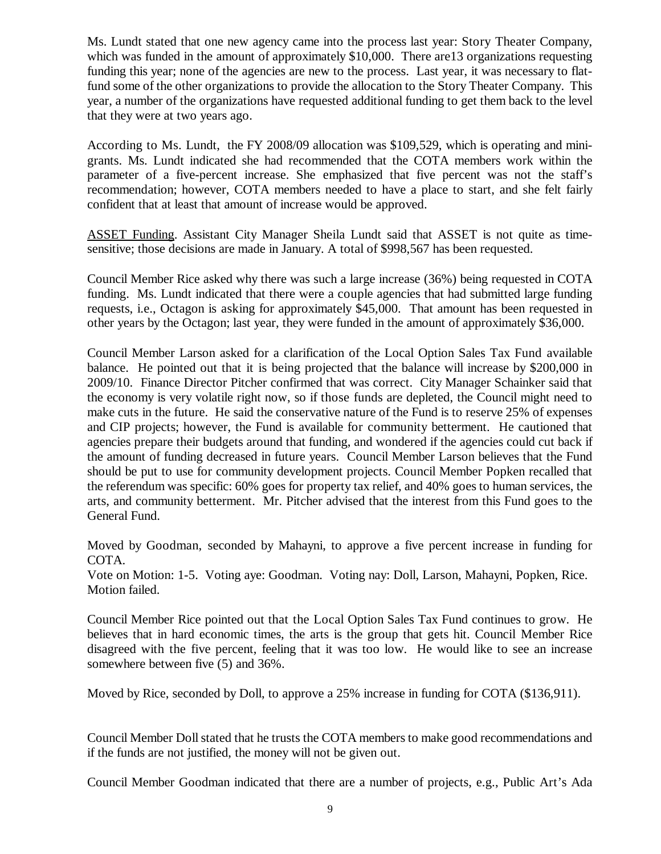Ms. Lundt stated that one new agency came into the process last year: Story Theater Company, which was funded in the amount of approximately \$10,000. There are 13 organizations requesting funding this year; none of the agencies are new to the process. Last year, it was necessary to flatfund some of the other organizations to provide the allocation to the Story Theater Company. This year, a number of the organizations have requested additional funding to get them back to the level that they were at two years ago.

According to Ms. Lundt, the FY 2008/09 allocation was \$109,529, which is operating and minigrants. Ms. Lundt indicated she had recommended that the COTA members work within the parameter of a five-percent increase. She emphasized that five percent was not the staff's recommendation; however, COTA members needed to have a place to start, and she felt fairly confident that at least that amount of increase would be approved.

ASSET Funding. Assistant City Manager Sheila Lundt said that ASSET is not quite as timesensitive; those decisions are made in January. A total of \$998,567 has been requested.

Council Member Rice asked why there was such a large increase (36%) being requested in COTA funding. Ms. Lundt indicated that there were a couple agencies that had submitted large funding requests, i.e., Octagon is asking for approximately \$45,000. That amount has been requested in other years by the Octagon; last year, they were funded in the amount of approximately \$36,000.

Council Member Larson asked for a clarification of the Local Option Sales Tax Fund available balance. He pointed out that it is being projected that the balance will increase by \$200,000 in 2009/10. Finance Director Pitcher confirmed that was correct. City Manager Schainker said that the economy is very volatile right now, so if those funds are depleted, the Council might need to make cuts in the future. He said the conservative nature of the Fund is to reserve 25% of expenses and CIP projects; however, the Fund is available for community betterment. He cautioned that agencies prepare their budgets around that funding, and wondered if the agencies could cut back if the amount of funding decreased in future years. Council Member Larson believes that the Fund should be put to use for community development projects. Council Member Popken recalled that the referendum was specific: 60% goes for property tax relief, and 40% goes to human services, the arts, and community betterment. Mr. Pitcher advised that the interest from this Fund goes to the General Fund.

Moved by Goodman, seconded by Mahayni, to approve a five percent increase in funding for COTA.

Vote on Motion: 1-5. Voting aye: Goodman. Voting nay: Doll, Larson, Mahayni, Popken, Rice. Motion failed.

Council Member Rice pointed out that the Local Option Sales Tax Fund continues to grow. He believes that in hard economic times, the arts is the group that gets hit. Council Member Rice disagreed with the five percent, feeling that it was too low. He would like to see an increase somewhere between five (5) and 36%.

Moved by Rice, seconded by Doll, to approve a 25% increase in funding for COTA (\$136,911).

Council Member Doll stated that he trusts the COTA members to make good recommendations and if the funds are not justified, the money will not be given out.

Council Member Goodman indicated that there are a number of projects, e.g., Public Art's Ada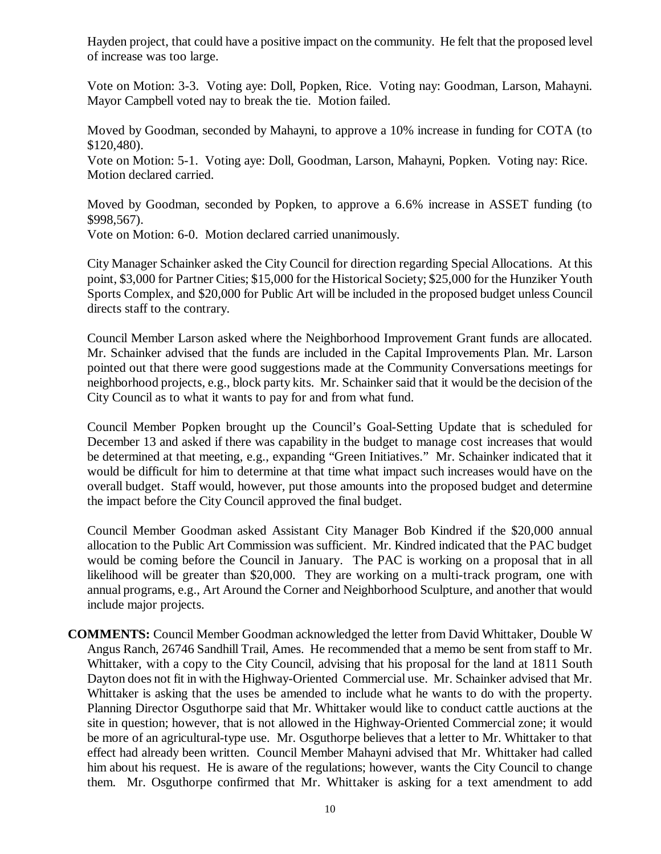Hayden project, that could have a positive impact on the community. He felt that the proposed level of increase was too large.

Vote on Motion: 3-3. Voting aye: Doll, Popken, Rice. Voting nay: Goodman, Larson, Mahayni. Mayor Campbell voted nay to break the tie. Motion failed.

Moved by Goodman, seconded by Mahayni, to approve a 10% increase in funding for COTA (to \$120,480).

Vote on Motion: 5-1. Voting aye: Doll, Goodman, Larson, Mahayni, Popken. Voting nay: Rice. Motion declared carried.

Moved by Goodman, seconded by Popken, to approve a 6.6% increase in ASSET funding (to \$998,567).

Vote on Motion: 6-0. Motion declared carried unanimously.

City Manager Schainker asked the City Council for direction regarding Special Allocations. At this point, \$3,000 for Partner Cities; \$15,000 for the Historical Society; \$25,000 for the Hunziker Youth Sports Complex, and \$20,000 for Public Art will be included in the proposed budget unless Council directs staff to the contrary.

Council Member Larson asked where the Neighborhood Improvement Grant funds are allocated. Mr. Schainker advised that the funds are included in the Capital Improvements Plan. Mr. Larson pointed out that there were good suggestions made at the Community Conversations meetings for neighborhood projects, e.g., block party kits. Mr. Schainker said that it would be the decision of the City Council as to what it wants to pay for and from what fund.

Council Member Popken brought up the Council's Goal-Setting Update that is scheduled for December 13 and asked if there was capability in the budget to manage cost increases that would be determined at that meeting, e.g., expanding "Green Initiatives." Mr. Schainker indicated that it would be difficult for him to determine at that time what impact such increases would have on the overall budget. Staff would, however, put those amounts into the proposed budget and determine the impact before the City Council approved the final budget.

Council Member Goodman asked Assistant City Manager Bob Kindred if the \$20,000 annual allocation to the Public Art Commission was sufficient. Mr. Kindred indicated that the PAC budget would be coming before the Council in January. The PAC is working on a proposal that in all likelihood will be greater than \$20,000. They are working on a multi-track program, one with annual programs, e.g., Art Around the Corner and Neighborhood Sculpture, and another that would include major projects.

**COMMENTS:** Council Member Goodman acknowledged the letter from David Whittaker, Double W Angus Ranch, 26746 Sandhill Trail, Ames. He recommended that a memo be sent from staff to Mr. Whittaker, with a copy to the City Council, advising that his proposal for the land at 1811 South Dayton does not fit in with the Highway-Oriented Commercial use. Mr. Schainker advised that Mr. Whittaker is asking that the uses be amended to include what he wants to do with the property. Planning Director Osguthorpe said that Mr. Whittaker would like to conduct cattle auctions at the site in question; however, that is not allowed in the Highway-Oriented Commercial zone; it would be more of an agricultural-type use. Mr. Osguthorpe believes that a letter to Mr. Whittaker to that effect had already been written. Council Member Mahayni advised that Mr. Whittaker had called him about his request. He is aware of the regulations; however, wants the City Council to change them. Mr. Osguthorpe confirmed that Mr. Whittaker is asking for a text amendment to add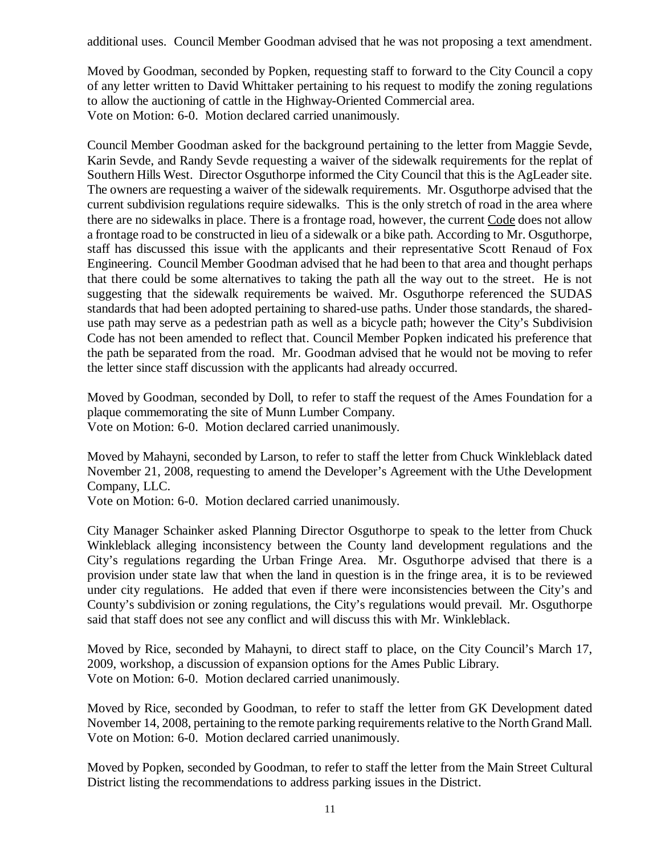additional uses. Council Member Goodman advised that he was not proposing a text amendment.

Moved by Goodman, seconded by Popken, requesting staff to forward to the City Council a copy of any letter written to David Whittaker pertaining to his request to modify the zoning regulations to allow the auctioning of cattle in the Highway-Oriented Commercial area. Vote on Motion: 6-0. Motion declared carried unanimously.

Council Member Goodman asked for the background pertaining to the letter from Maggie Sevde, Karin Sevde, and Randy Sevde requesting a waiver of the sidewalk requirements for the replat of Southern Hills West. Director Osguthorpe informed the City Council that this is the AgLeader site. The owners are requesting a waiver of the sidewalk requirements. Mr. Osguthorpe advised that the current subdivision regulations require sidewalks. This is the only stretch of road in the area where there are no sidewalks in place. There is a frontage road, however, the current Code does not allow a frontage road to be constructed in lieu of a sidewalk or a bike path. According to Mr. Osguthorpe, staff has discussed this issue with the applicants and their representative Scott Renaud of Fox Engineering. Council Member Goodman advised that he had been to that area and thought perhaps that there could be some alternatives to taking the path all the way out to the street. He is not suggesting that the sidewalk requirements be waived. Mr. Osguthorpe referenced the SUDAS standards that had been adopted pertaining to shared-use paths. Under those standards, the shareduse path may serve as a pedestrian path as well as a bicycle path; however the City's Subdivision Code has not been amended to reflect that. Council Member Popken indicated his preference that the path be separated from the road. Mr. Goodman advised that he would not be moving to refer the letter since staff discussion with the applicants had already occurred.

Moved by Goodman, seconded by Doll, to refer to staff the request of the Ames Foundation for a plaque commemorating the site of Munn Lumber Company. Vote on Motion: 6-0. Motion declared carried unanimously.

Moved by Mahayni, seconded by Larson, to refer to staff the letter from Chuck Winkleblack dated November 21, 2008, requesting to amend the Developer's Agreement with the Uthe Development Company, LLC.

Vote on Motion: 6-0. Motion declared carried unanimously.

City Manager Schainker asked Planning Director Osguthorpe to speak to the letter from Chuck Winkleblack alleging inconsistency between the County land development regulations and the City's regulations regarding the Urban Fringe Area. Mr. Osguthorpe advised that there is a provision under state law that when the land in question is in the fringe area, it is to be reviewed under city regulations. He added that even if there were inconsistencies between the City's and County's subdivision or zoning regulations, the City's regulations would prevail. Mr. Osguthorpe said that staff does not see any conflict and will discuss this with Mr. Winkleblack.

Moved by Rice, seconded by Mahayni, to direct staff to place, on the City Council's March 17, 2009, workshop, a discussion of expansion options for the Ames Public Library. Vote on Motion: 6-0. Motion declared carried unanimously.

Moved by Rice, seconded by Goodman, to refer to staff the letter from GK Development dated November 14, 2008, pertaining to the remote parking requirements relative to the North Grand Mall. Vote on Motion: 6-0. Motion declared carried unanimously.

Moved by Popken, seconded by Goodman, to refer to staff the letter from the Main Street Cultural District listing the recommendations to address parking issues in the District.